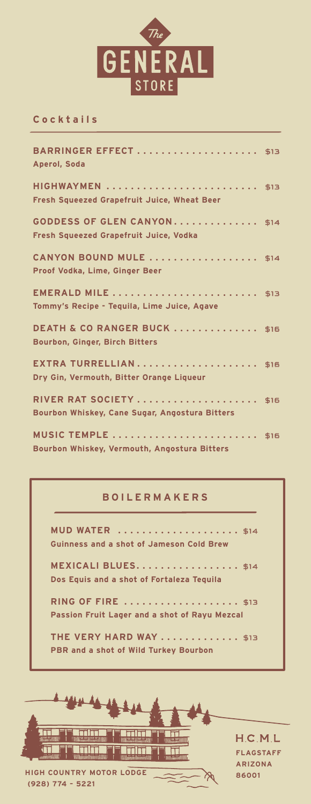

## **Cocktails**

| BARRINGER EFFECT \$13<br>Aperol, Soda                                               |  |
|-------------------------------------------------------------------------------------|--|
| <b>Fresh Squeezed Grapefruit Juice, Wheat Beer</b>                                  |  |
| <b>GODDESS OF GLEN CANYON \$14</b><br><b>Fresh Squeezed Grapefruit Juice, Vodka</b> |  |
| CANYON BOUND MULE  \$14<br>Proof Vodka, Lime, Ginger Beer                           |  |
| Tommy's Recipe - Tequila, Lime Juice, Agave                                         |  |
| DEATH & CO RANGER BUCK  \$16<br><b>Bourbon, Ginger, Birch Bitters</b>               |  |
| EXTRA TURRELLIAN \$16<br>Dry Gin, Vermouth, Bitter Orange Liqueur                   |  |
| RIVER RAT SOCIETY  \$16<br>Bourbon Whiskey, Cane Sugar, Angostura Bitters           |  |
| Bourbon Whiskey, Vermouth, Angostura Bitters                                        |  |

## **BOILERMAKERS**

**MUD WATER ....................** \$14 **Guinness and a shot of Jameson Cold Brew**

**MEXICALI BLUES.................** \$14 **Dos Equis and a shot of Fortaleza Tequila**

**RING OF FIRE ...................** \$13 **Passion Fruit Lager and a shot of Rayu Mezcal**

**THE VERY HARD WAY .............** \$13 **PBR and a shot of Wild Turkey Bourbon**



 $H.C.M.L$ **FLAGSTAFF ARIZONA**